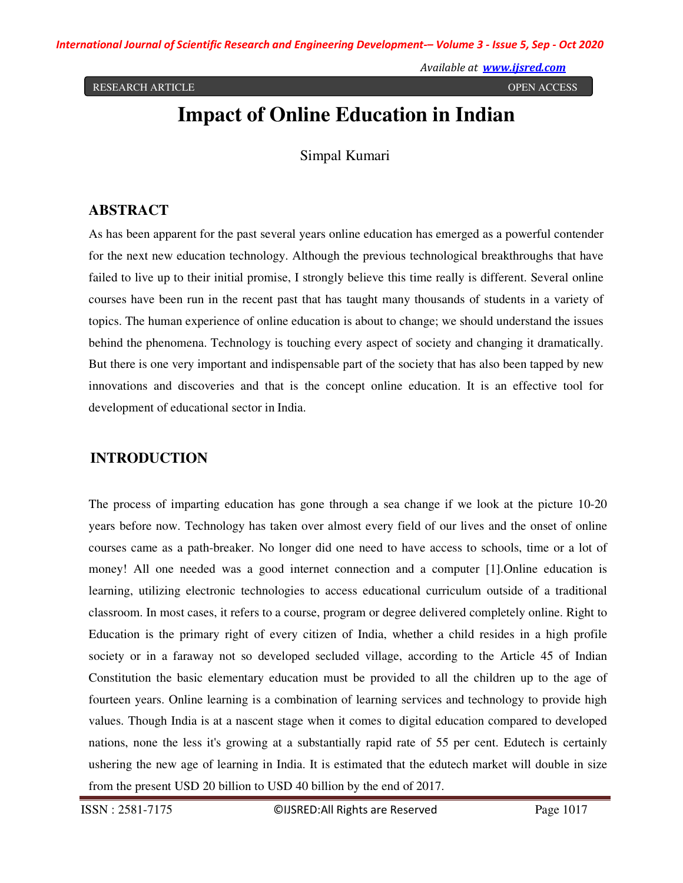RESEARCH ARTICLE OPEN ACCESS

*Available at www.ijsred.com*

# **Impact of Online Education in Indian**

Simpal Kumari

## **ABSTRACT**

As has been apparent for the past several years online education has emerged as a powerful contender for the next new education technology. Although the previous technological breakthroughs that have failed to live up to their initial promise, I strongly believe this time really is different. Several online courses have been run in the recent past that has taught many thousands of students in a variety of topics. The human experience of online education is about to change; we should understand the issues behind the phenomena. Technology is touching every aspect of society and changing it dramatically. But there is one very important and indispensable part of the society that has also been tapped by new innovations and discoveries and that is the concept online education. It is an effective tool for development of educational sector in India.

## **INTRODUCTION**

The process of imparting education has gone through a sea change if we look at the picture 10-20 years before now. Technology has taken over almost every field of our lives and the onset of online courses came as a path-breaker. No longer did one need to have access to schools, time or a lot of money! All one needed was a good internet connection and a computer [1].Online education is learning, utilizing electronic technologies to access educational curriculum outside of a traditional classroom. In most cases, it refers to a course, program or degree delivered completely online. Right to Education is the primary right of every citizen of India, whether a child resides in a high profile society or in a faraway not so developed secluded village, according to the Article 45 of Indian Constitution the basic elementary education must be provided to all the children up to the age of fourteen years. Online learning is a combination of learning services and technology to provide high values. Though India is at a nascent stage when it comes to digital education compared to developed nations, none the less it's growing at a substantially rapid rate of 55 per cent. Edutech is certainly ushering the new age of learning in India. It is estimated that the edutech market will double in size from the present USD 20 billion to USD 40 billion by the end of 2017.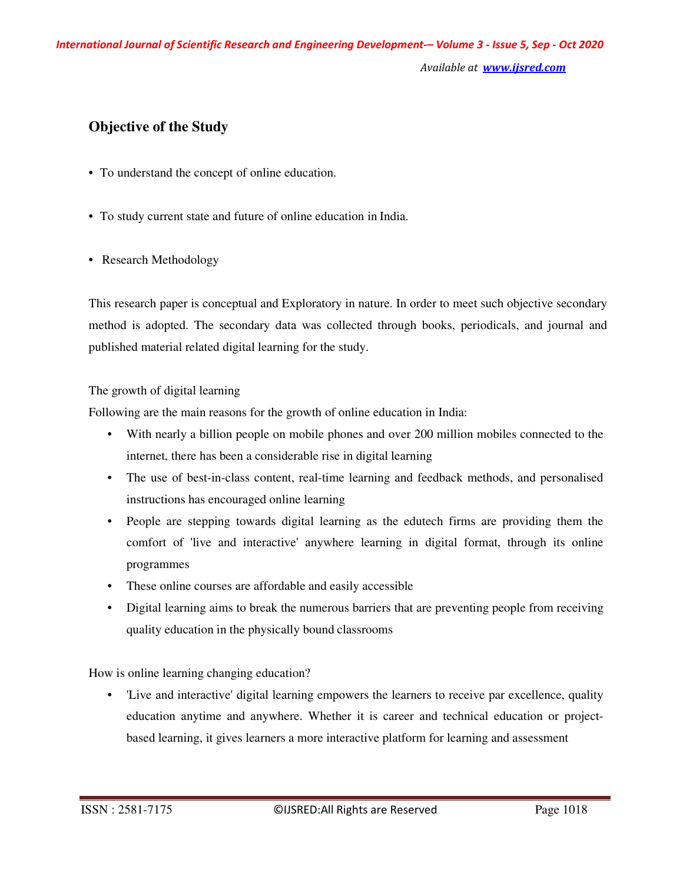*Available at www.ijsred.com*

# **Objective of the Study**

- To understand the concept of online education.
- To study current state and future of online education in India.
- Research Methodology

This research paper is conceptual and Exploratory in nature. In order to meet such objective secondary method is adopted. The secondary data was collected through books, periodicals, and journal and published material related digital learning for the study.

#### The growth of digital learning

Following are the main reasons for the growth of online education in India:

- With nearly a billion people on mobile phones and over 200 million mobiles connected to the internet, there has been a considerable rise in digital learning
- The use of best-in-class content, real-time learning and feedback methods, and personalised instructions has encouraged online learning
- People are stepping towards digital learning as the edutech firms are providing them the comfort of 'live and interactive' anywhere learning in digital format, through its online programmes
- These online courses are affordable and easily accessible
- Digital learning aims to break the numerous barriers that are preventing people from receiving quality education in the physically bound classrooms

How is online learning changing education?

• 'Live and interactive' digital learning empowers the learners to receive par excellence, quality education anytime and anywhere. Whether it is career and technical education or projectbased learning, it gives learners a more interactive platform for learning and assessment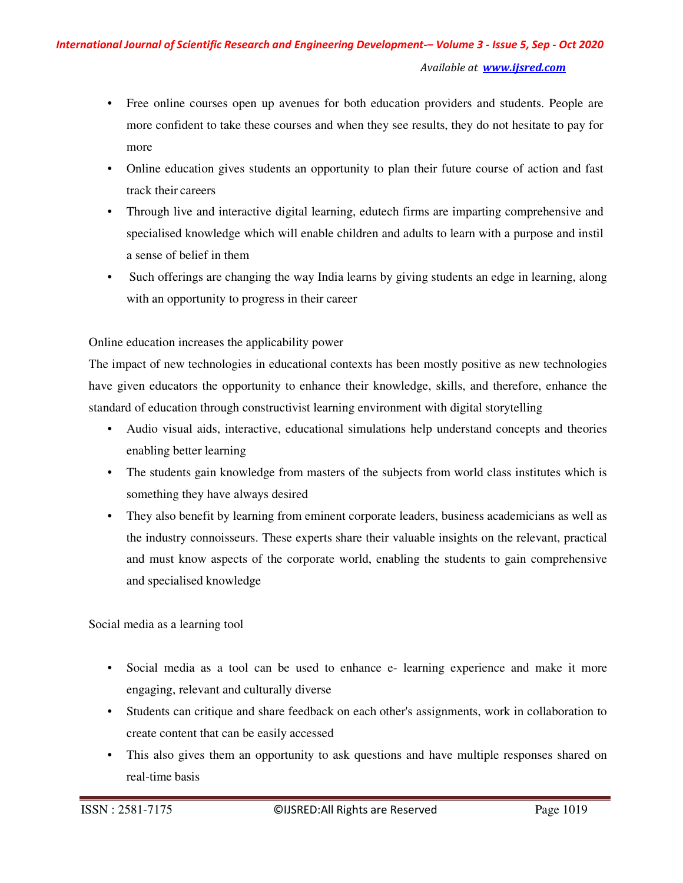- Free online courses open up avenues for both education providers and students. People are more confident to take these courses and when they see results, they do not hesitate to pay for more
- Online education gives students an opportunity to plan their future course of action and fast track their careers
- Through live and interactive digital learning, edutech firms are imparting comprehensive and specialised knowledge which will enable children and adults to learn with a purpose and instil a sense of belief in them
- Such offerings are changing the way India learns by giving students an edge in learning, along with an opportunity to progress in their career

Online education increases the applicability power

The impact of new technologies in educational contexts has been mostly positive as new technologies have given educators the opportunity to enhance their knowledge, skills, and therefore, enhance the standard of education through constructivist learning environment with digital storytelling

- Audio visual aids, interactive, educational simulations help understand concepts and theories enabling better learning
- The students gain knowledge from masters of the subjects from world class institutes which is something they have always desired
- They also benefit by learning from eminent corporate leaders, business academicians as well as the industry connoisseurs. These experts share their valuable insights on the relevant, practical and must know aspects of the corporate world, enabling the students to gain comprehensive and specialised knowledge

Social media as a learning tool

- Social media as a tool can be used to enhance e- learning experience and make it more engaging, relevant and culturally diverse
- Students can critique and share feedback on each other's assignments, work in collaboration to create content that can be easily accessed
- This also gives them an opportunity to ask questions and have multiple responses shared on real-time basis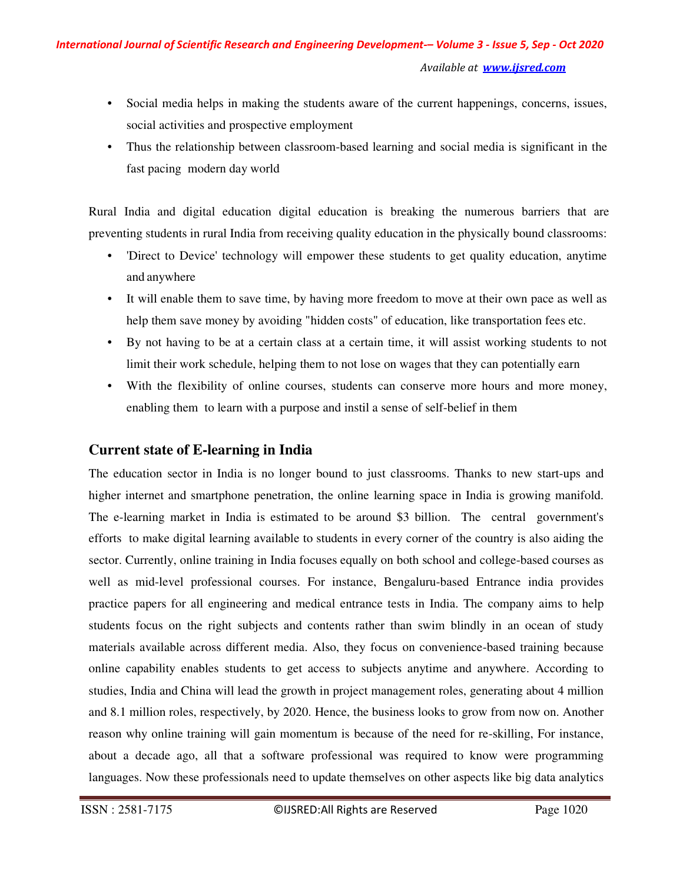- Social media helps in making the students aware of the current happenings, concerns, issues, social activities and prospective employment
- Thus the relationship between classroom-based learning and social media is significant in the fast pacing modern day world

Rural India and digital education digital education is breaking the numerous barriers that are preventing students in rural India from receiving quality education in the physically bound classrooms:

- 'Direct to Device' technology will empower these students to get quality education, anytime and anywhere
- It will enable them to save time, by having more freedom to move at their own pace as well as help them save money by avoiding "hidden costs" of education, like transportation fees etc.
- By not having to be at a certain class at a certain time, it will assist working students to not limit their work schedule, helping them to not lose on wages that they can potentially earn
- With the flexibility of online courses, students can conserve more hours and more money, enabling them to learn with a purpose and instil a sense of self-belief in them

# **Current state of E-learning in India**

The education sector in India is no longer bound to just classrooms. Thanks to new start-ups and higher internet and smartphone penetration, the online learning space in India is growing manifold. The e-learning market in India is estimated to be around \$3 billion. The central government's efforts to make digital learning available to students in every corner of the country is also aiding the sector. Currently, online training in India focuses equally on both school and college-based courses as well as mid-level professional courses. For instance, Bengaluru-based Entrance india provides practice papers for all engineering and medical entrance tests in India. The company aims to help students focus on the right subjects and contents rather than swim blindly in an ocean of study materials available across different media. Also, they focus on convenience-based training because online capability enables students to get access to subjects anytime and anywhere. According to studies, India and China will lead the growth in project management roles, generating about 4 million and 8.1 million roles, respectively, by 2020. Hence, the business looks to grow from now on. Another reason why online training will gain momentum is because of the need for re-skilling, For instance, about a decade ago, all that a software professional was required to know were programming languages. Now these professionals need to update themselves on other aspects like big data analytics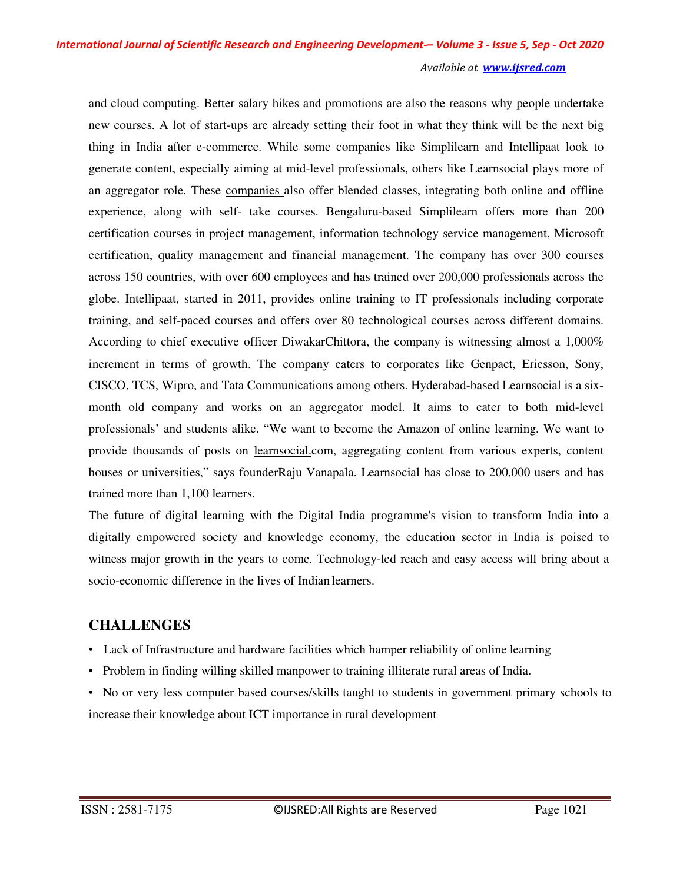and cloud computing. Better salary hikes and promotions are also the reasons why people undertake new courses. A lot of start-ups are already setting their foot in what they think will be the next big thing in India after e-commerce. While some companies like Simplilearn and Intellipaat look to generate content, especially aiming at mid-level professionals, others like Learnsocial plays more of an aggregator role. These companies also offer blended classes, integrating both online and offline experience, along with self- take courses. Bengaluru-based Simplilearn offers more than 200 certification courses in project management, information technology service management, Microsoft certification, quality management and financial management. The company has over 300 courses across 150 countries, with over 600 employees and has trained over 200,000 professionals across the globe. Intellipaat, started in 2011, provides online training to IT professionals including corporate training, and self-paced courses and offers over 80 technological courses across different domains. According to chief executive officer DiwakarChittora, the company is witnessing almost a 1,000% increment in terms of growth. The company caters to corporates like Genpact, Ericsson, Sony, CISCO, TCS, Wipro, and Tata Communications among others. Hyderabad-based Learnsocial is a sixmonth old company and works on an aggregator model. It aims to cater to both mid-level professionals' and students alike. "We want to become the Amazon of online learning. We want to provide thousands of posts on <u>learnsocial.c</u>om, aggregating content from various experts, content houses or universities," says founderRaju Vanapala. Learnsocial has close to 200,000 users and has trained more than 1,100 learners.

The future of digital learning with the Digital India programme's vision to transform India into a digitally empowered society and knowledge economy, the education sector in India is poised to witness major growth in the years to come. Technology-led reach and easy access will bring about a socio-economic difference in the lives of Indian learners.

# **CHALLENGES**

- Lack of Infrastructure and hardware facilities which hamper reliability of online learning
- Problem in finding willing skilled manpower to training illiterate rural areas of India.
- No or very less computer based courses/skills taught to students in government primary schools to increase their knowledge about ICT importance in rural development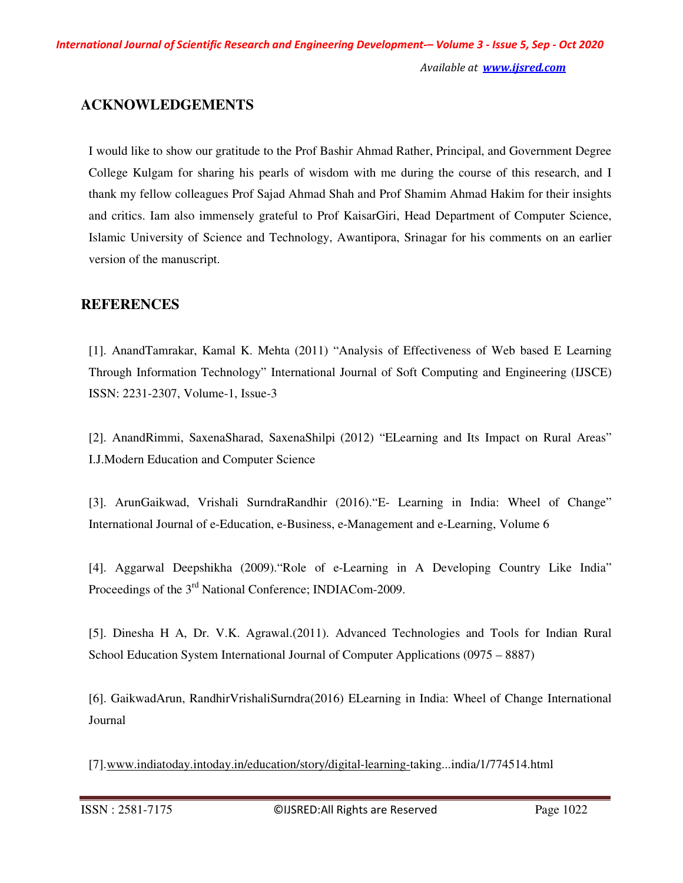## **ACKNOWLEDGEMENTS**

I would like to show our gratitude to the Prof Bashir Ahmad Rather, Principal, and Government Degree College Kulgam for sharing his pearls of wisdom with me during the course of this research, and I thank my fellow colleagues Prof Sajad Ahmad Shah and Prof Shamim Ahmad Hakim for their insights and critics. Iam also immensely grateful to Prof KaisarGiri, Head Department of Computer Science, Islamic University of Science and Technology, Awantipora, Srinagar for his comments on an earlier version of the manuscript.

### **REFERENCES**

[1]. AnandTamrakar, Kamal K. Mehta (2011) "Analysis of Effectiveness of Web based E Learning Through Information Technology" International Journal of Soft Computing and Engineering (IJSCE) ISSN: 2231-2307, Volume-1, Issue-3

[2]. AnandRimmi, SaxenaSharad, SaxenaShilpi (2012) "ELearning and Its Impact on Rural Areas" I.J.Modern Education and Computer Science

[3]. ArunGaikwad, Vrishali SurndraRandhir (2016)."E- Learning in India: Wheel of Change" International Journal of e-Education, e-Business, e-Management and e-Learning, Volume 6

[4]. Aggarwal Deepshikha (2009)."Role of e-Learning in A Developing Country Like India" Proceedings of the 3rd National Conference; INDIACom-2009.

[5]. Dinesha H A, Dr. V.K. Agrawal.(2011). Advanced Technologies and Tools for Indian Rural School Education System International Journal of Computer Applications (0975 – 8887)

[6]. GaikwadArun, RandhirVrishaliSurndra(2016) ELearning in India: Wheel of Change International Journal

[7].www.indiatoday.intoday.in/education/story/digital-learning-taking...india/1/774514.html